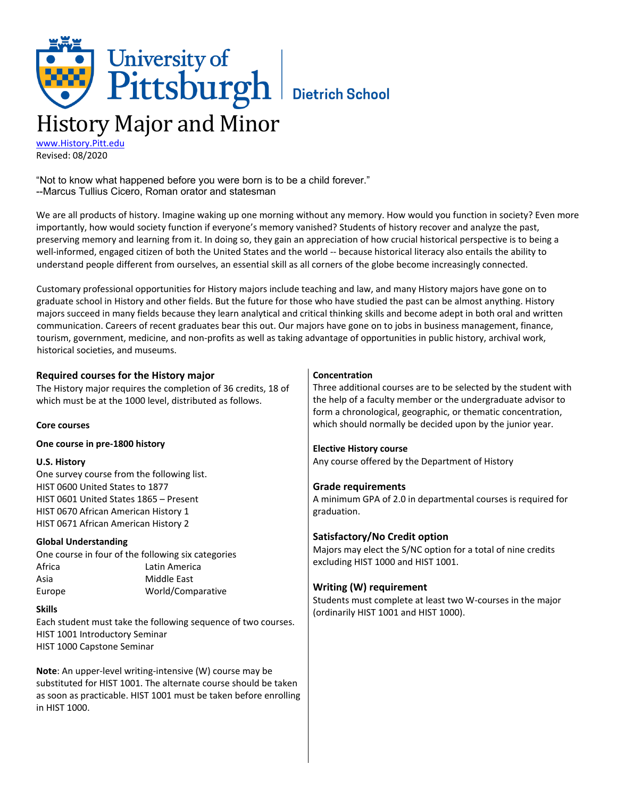# University of<br>Pittsburgh Bietrich School History Major and Minor

[www.History.Pitt.edu](http://www.history.pitt.edu/) Revised: 08/2020

"Not to know what happened before you were born is to be a child forever." --Marcus Tullius Cicero, Roman orator and statesman

We are all products of history. Imagine waking up one morning without any memory. How would you function in society? Even more importantly, how would society function if everyone's memory vanished? Students of history recover and analyze the past, preserving memory and learning from it. In doing so, they gain an appreciation of how crucial historical perspective is to being a well-informed, engaged citizen of both the United States and the world -- because historical literacy also entails the ability to understand people different from ourselves, an essential skill as all corners of the globe become increasingly connected.

Customary professional opportunities for History majors include teaching and law, and many History majors have gone on to graduate school in History and other fields. But the future for those who have studied the past can be almost anything. History majors succeed in many fields because they learn analytical and critical thinking skills and become adept in both oral and written communication. Careers of recent graduates bear this out. Our majors have gone on to jobs in business management, finance, tourism, government, medicine, and non-profits as well as taking advantage of opportunities in public history, archival work, historical societies, and museums.

| Required courses for the History major                           | Concentration                                                   |
|------------------------------------------------------------------|-----------------------------------------------------------------|
| The History major requires the completion of 36 credits, 18 of   | Three additional courses are to be selected by the student with |
| which must be at the 1000 level, distributed as follows.         | the help of a faculty member or the undergraduate advisor to    |
|                                                                  | form a chronological, geographic, or thematic concentration,    |
| <b>Core courses</b>                                              | which should normally be decided upon by the junior year.       |
| One course in pre-1800 history                                   | <b>Elective History course</b>                                  |
| <b>U.S. History</b>                                              | Any course offered by the Department of History                 |
| One survey course from the following list.                       |                                                                 |
| HIST 0600 United States to 1877                                  | <b>Grade requirements</b>                                       |
| HIST 0601 United States 1865 - Present                           | A minimum GPA of 2.0 in departmental courses is required for    |
| HIST 0670 African American History 1                             | graduation.                                                     |
| HIST 0671 African American History 2                             |                                                                 |
| <b>Global Understanding</b>                                      | Satisfactory/No Credit option                                   |
| One course in four of the following six categories               | Majors may elect the S/NC option for a total of nine credits    |
| Africa<br>Latin America                                          | excluding HIST 1000 and HIST 1001.                              |
| <b>Middle East</b><br>Asia                                       |                                                                 |
| World/Comparative<br>Europe                                      | <b>Writing (W) requirement</b>                                  |
|                                                                  | Students must complete at least two W-courses in the major      |
| <b>Skills</b>                                                    | (ordinarily HIST 1001 and HIST 1000).                           |
| Each student must take the following sequence of two courses.    |                                                                 |
| HIST 1001 Introductory Seminar<br>HIST 1000 Capstone Seminar     |                                                                 |
|                                                                  |                                                                 |
| Note: An upper-level writing-intensive (W) course may be         |                                                                 |
| substituted for HIST 1001. The alternate course should be taken  |                                                                 |
| as soon as practicable. HIST 1001 must be taken before enrolling |                                                                 |
| in HIST 1000.                                                    |                                                                 |
|                                                                  |                                                                 |
|                                                                  |                                                                 |
|                                                                  |                                                                 |